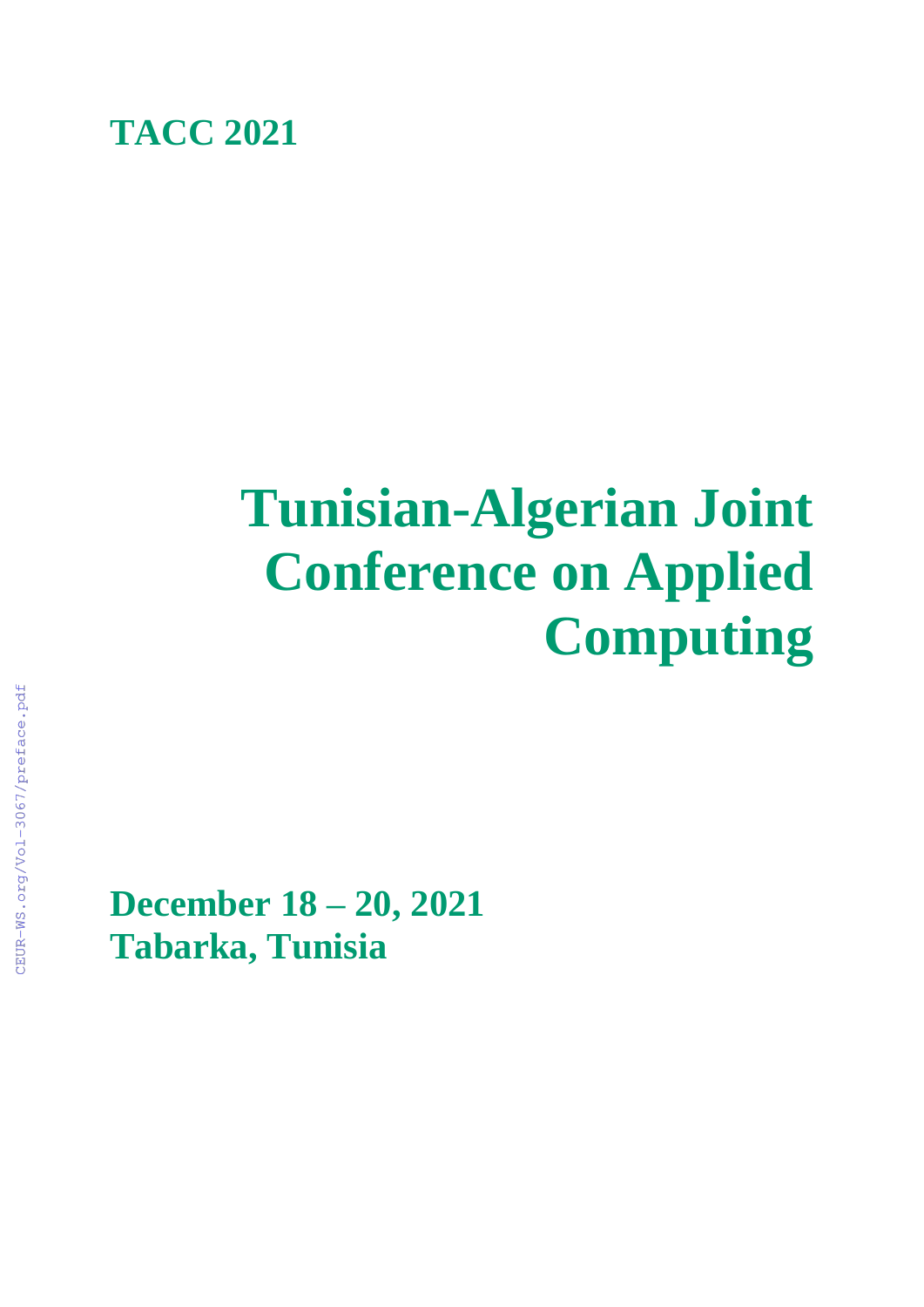

# **Tunisian-Algerian Joint Conference on Applied Computing**

**December 18 – 20, 2021 Tabarka, Tunisia**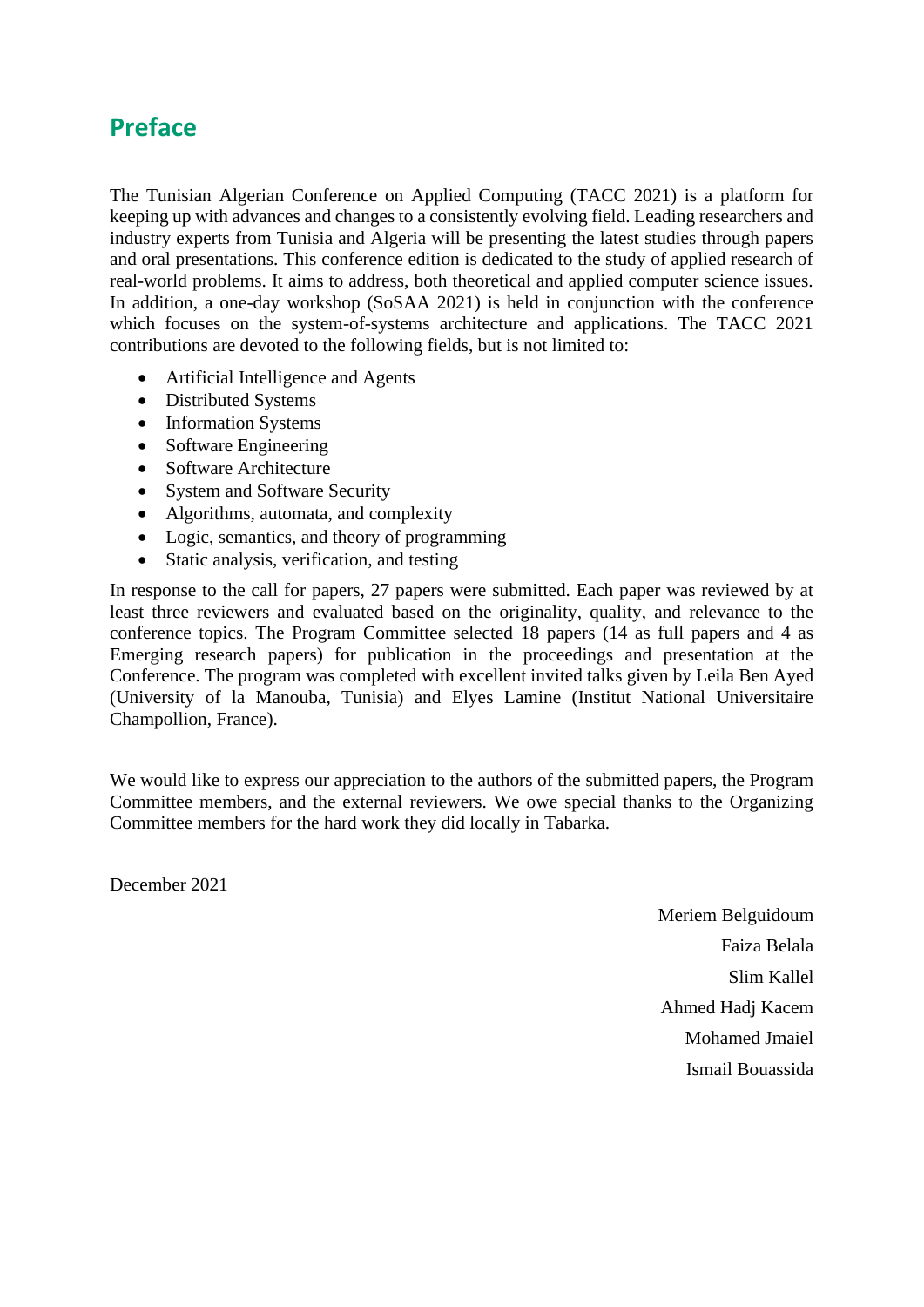## **Preface**

The Tunisian Algerian Conference on Applied Computing (TACC 2021) is a platform for keeping up with advances and changes to a consistently evolving field. Leading researchers and industry experts from Tunisia and Algeria will be presenting the latest studies through papers and oral presentations. This conference edition is dedicated to the study of applied research of real-world problems. It aims to address, both theoretical and applied computer science issues. In addition, a one-day workshop (SoSAA 2021) is held in conjunction with the conference which focuses on the system-of-systems architecture and applications. The TACC 2021 contributions are devoted to the following fields, but is not limited to:

- Artificial Intelligence and Agents
- Distributed Systems
- Information Systems
- Software Engineering
- Software Architecture
- System and Software Security
- Algorithms, automata, and complexity
- Logic, semantics, and theory of programming
- Static analysis, verification, and testing

In response to the call for papers, 27 papers were submitted. Each paper was reviewed by at least three reviewers and evaluated based on the originality, quality, and relevance to the conference topics. The Program Committee selected 18 papers (14 as full papers and 4 as Emerging research papers) for publication in the proceedings and presentation at the Conference. The program was completed with excellent invited talks given by Leila Ben Ayed (University of la Manouba, Tunisia) and Elyes Lamine (Institut National Universitaire Champollion, France).

We would like to express our appreciation to the authors of the submitted papers, the Program Committee members, and the external reviewers. We owe special thanks to the Organizing Committee members for the hard work they did locally in Tabarka.

December 2021

Meriem Belguidoum Faiza Belala Slim Kallel Ahmed Hadj Kacem Mohamed Jmaiel Ismail Bouassida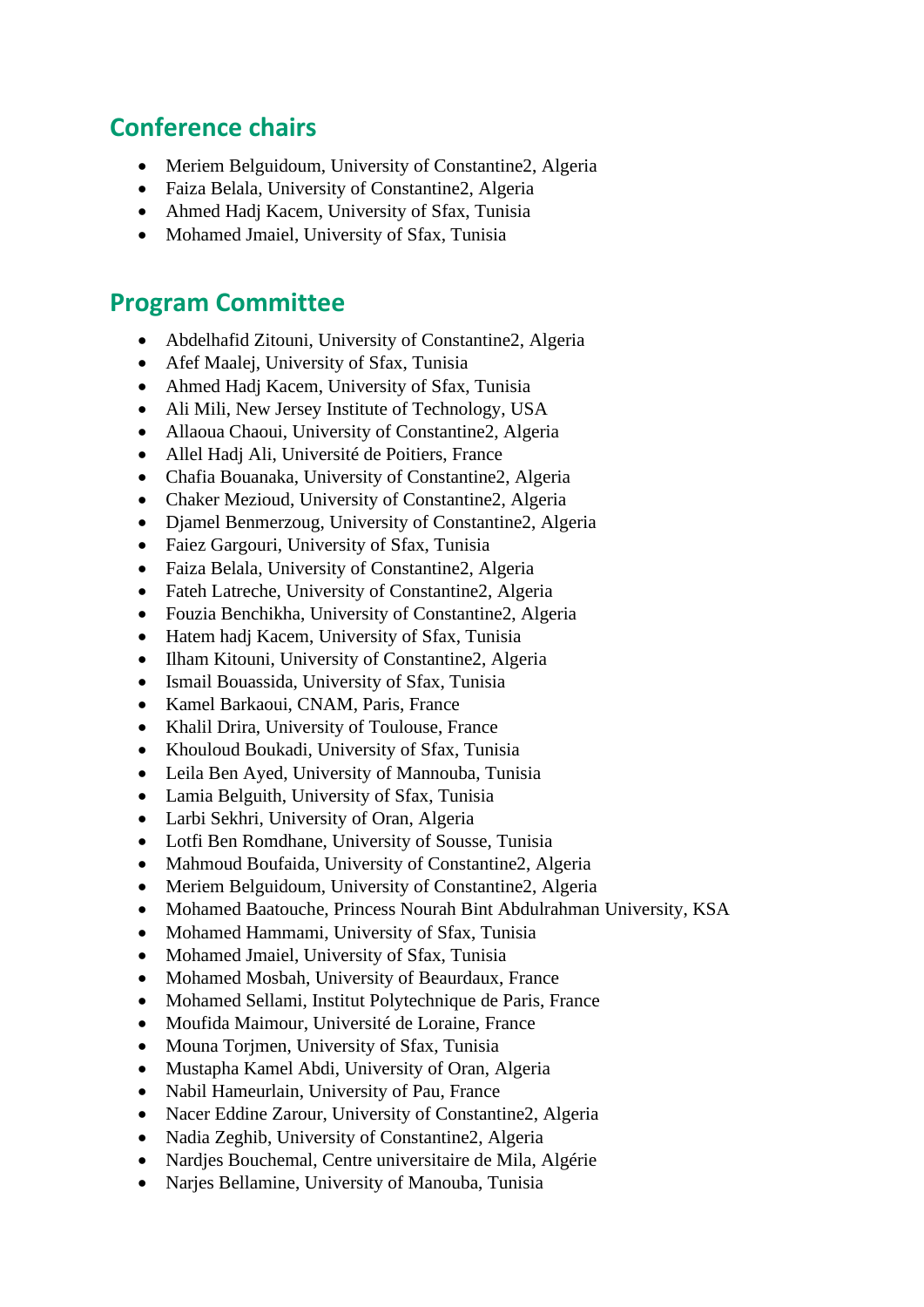## **Conference chairs**

- Meriem Belguidoum, University of Constantine2, Algeria
- Faiza Belala, University of Constantine2, Algeria
- Ahmed Hadj Kacem, University of Sfax, Tunisia
- Mohamed Jmaiel, University of Sfax, Tunisia

## **Program Committee**

- Abdelhafid Zitouni, University of Constantine2, Algeria
- Afef Maalej, University of Sfax, Tunisia
- Ahmed Hadj Kacem, University of Sfax, Tunisia
- Ali Mili, New Jersey Institute of Technology, USA
- Allaoua Chaoui, University of Constantine2, Algeria
- Allel Hadj Ali, Université de Poitiers, France
- Chafia Bouanaka, University of Constantine2, Algeria
- Chaker Mezioud, University of Constantine2, Algeria
- Diamel Benmerzoug, University of Constantine2, Algeria
- Faiez Gargouri, University of Sfax, Tunisia
- Faiza Belala, University of Constantine2, Algeria
- Fateh Latreche, University of Constantine2, Algeria
- Fouzia Benchikha, University of Constantine2, Algeria
- Hatem hadj Kacem, University of Sfax, Tunisia
- Ilham Kitouni, University of Constantine2, Algeria
- Ismail Bouassida, University of Sfax, Tunisia
- Kamel Barkaoui, CNAM, Paris, France
- Khalil Drira, University of Toulouse, France
- Khouloud Boukadi, University of Sfax, Tunisia
- Leila Ben Ayed, University of Mannouba, Tunisia
- Lamia Belguith, University of Sfax, Tunisia
- Larbi Sekhri, University of Oran, Algeria
- Lotfi Ben Romdhane, University of Sousse, Tunisia
- Mahmoud Boufaida, University of Constantine2, Algeria
- Meriem Belguidoum, University of Constantine2, Algeria
- Mohamed Baatouche, Princess Nourah Bint Abdulrahman University, KSA
- Mohamed Hammami, University of Sfax, Tunisia
- Mohamed Jmaiel, University of Sfax, Tunisia
- Mohamed Mosbah, University of Beaurdaux, France
- Mohamed Sellami, Institut Polytechnique de Paris, France
- Moufida Maimour, Université de Loraine, France
- Mouna Torjmen, University of Sfax, Tunisia
- Mustapha Kamel Abdi, University of Oran, Algeria
- Nabil Hameurlain, University of Pau, France
- Nacer Eddine Zarour, University of Constantine2, Algeria
- Nadia Zeghib, University of Constantine2, Algeria
- Nardjes Bouchemal, Centre universitaire de Mila, Algérie
- Narjes Bellamine, University of Manouba, Tunisia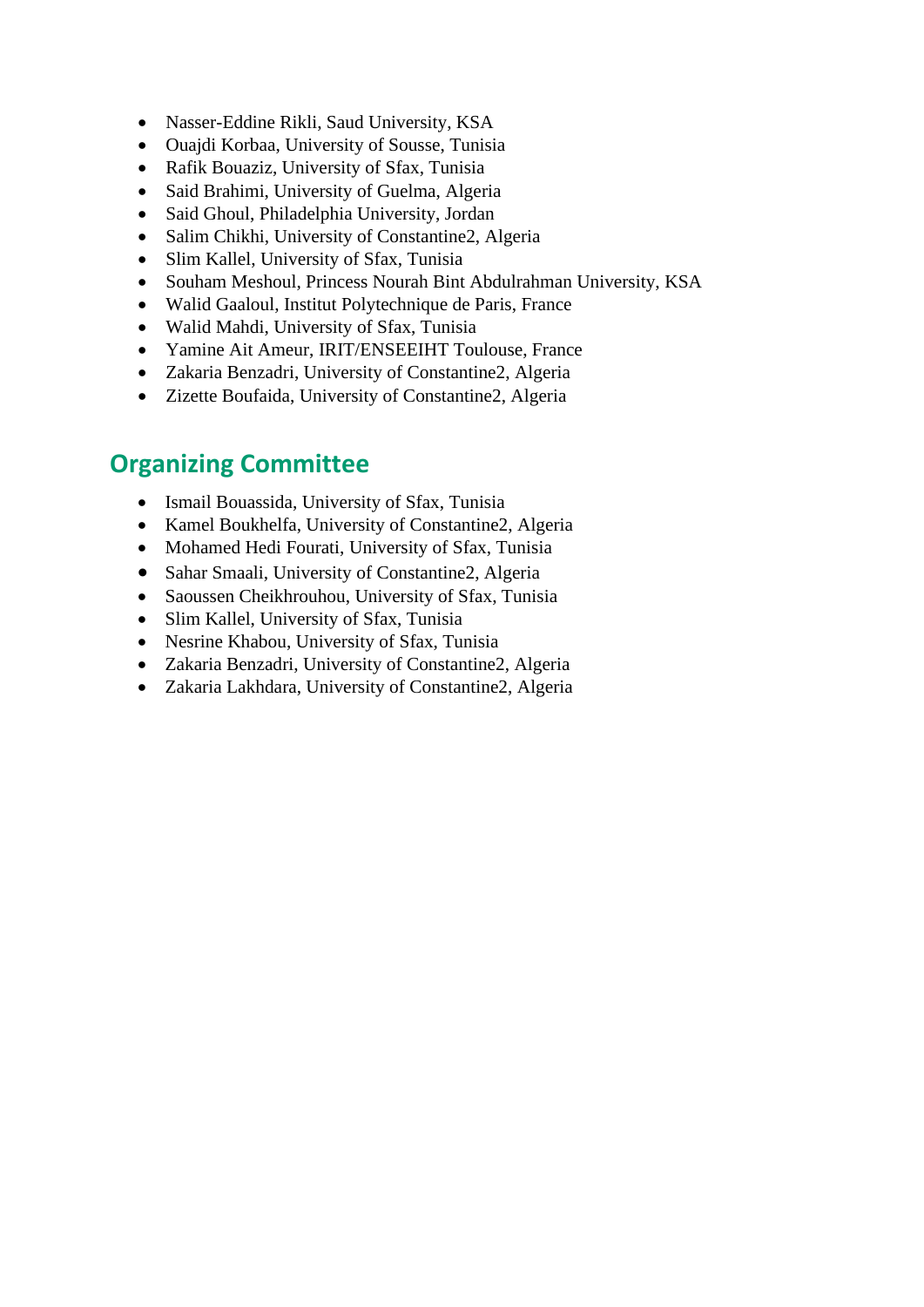- Nasser-Eddine Rikli, Saud University, KSA
- Ouajdi Korbaa, University of Sousse, Tunisia
- Rafik Bouaziz, University of Sfax, Tunisia
- Said Brahimi, University of Guelma, Algeria
- Said Ghoul, Philadelphia University, Jordan
- Salim Chikhi, University of Constantine2, Algeria
- Slim Kallel, University of Sfax, Tunisia
- Souham Meshoul, Princess Nourah Bint Abdulrahman University, KSA
- Walid Gaaloul, Institut Polytechnique de Paris, France
- Walid Mahdi, University of Sfax, Tunisia
- Yamine Ait Ameur, IRIT/ENSEEIHT Toulouse, France
- Zakaria Benzadri, University of Constantine2, Algeria
- Zizette Boufaida, University of Constantine2, Algeria

# **Organizing Committee**

- Ismail Bouassida, University of Sfax, Tunisia
- Kamel Boukhelfa, University of Constantine2, Algeria
- Mohamed Hedi Fourati, University of Sfax, Tunisia
- Sahar Smaali, University of Constantine2, Algeria
- Saoussen Cheikhrouhou, University of Sfax, Tunisia
- Slim Kallel, University of Sfax, Tunisia
- Nesrine Khabou, University of Sfax, Tunisia
- Zakaria Benzadri, University of Constantine2, Algeria
- Zakaria Lakhdara, University of Constantine2, Algeria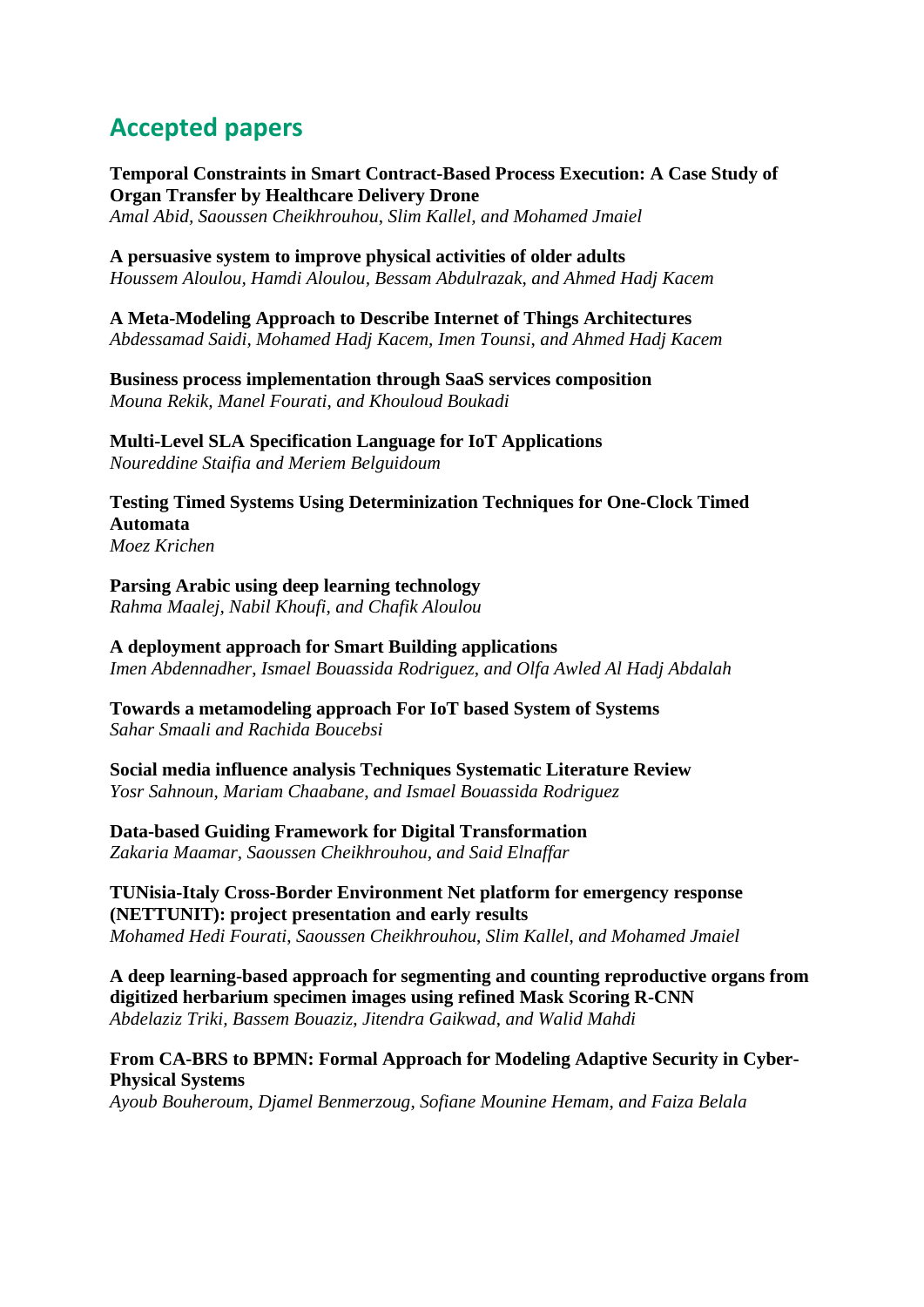# **Accepted papers**

**Temporal Constraints in Smart Contract-Based Process Execution: A Case Study of Organ Transfer by Healthcare Delivery Drone**

*Amal Abid, Saoussen Cheikhrouhou*, *Slim Kallel, and Mohamed Jmaiel*

**A persuasive system to improve physical activities of older adults**

*Houssem Aloulou, Hamdi Aloulou, Bessam Abdulrazak*, *and Ahmed Hadj Kacem*

#### **A Meta-Modeling Approach to Describe Internet of Things Architectures**

*Abdessamad Saidi, Mohamed Hadj Kacem, Imen Tounsi*, *and Ahmed Hadj Kacem*

**Business process implementation through SaaS services composition** *Mouna Rekik, Manel Fourati*, *and Khouloud Boukadi*

**Multi-Level SLA Specification Language for IoT Applications**

*Noureddine Staifia and Meriem Belguidoum*

**Testing Timed Systems Using Determinization Techniques for One-Clock Timed Automata**

*Moez Krichen*

#### **Parsing Arabic using deep learning technology**

*Rahma Maalej, Nabil Khoufi*, *and Chafik Aloulou*

#### **A deployment approach for Smart Building applications**

*Imen Abdennadher*, *Ismael Bouassida Rodriguez*, *and Olfa Awled Al Hadj Abdalah*

#### **Towards a metamodeling approach For IoT based System of Systems** *Sahar Smaali and Rachida Boucebsi*

#### **Social media influence analysis Techniques Systematic Literature Review** *Yosr Sahnoun*, *Mariam Chaabane*, *and Ismael Bouassida Rodriguez*

### **Data-based Guiding Framework for Digital Transformation**

*Zakaria Maamar*, *Saoussen Cheikhrouhou*, *and Said Elnaffar*

#### **TUNisia-Italy Cross-Border Environment Net platform for emergency response (NETTUNIT): project presentation and early results** *Mohamed Hedi Fourati*, *Saoussen Cheikhrouhou*, *Slim Kallel*, *and Mohamed Jmaiel*

**A deep learning-based approach for segmenting and counting reproductive organs from digitized herbarium specimen images using refined Mask Scoring R-CNN** *Abdelaziz Triki, Bassem Bouaziz*, *Jitendra Gaikwad*, *and Walid Mahdi*

#### **From CA-BRS to BPMN: Formal Approach for Modeling Adaptive Security in Cyber-Physical Systems**

*Ayoub Bouheroum*, *Djamel Benmerzoug*, *Sofiane Mounine Hemam*, *and Faiza Belala*